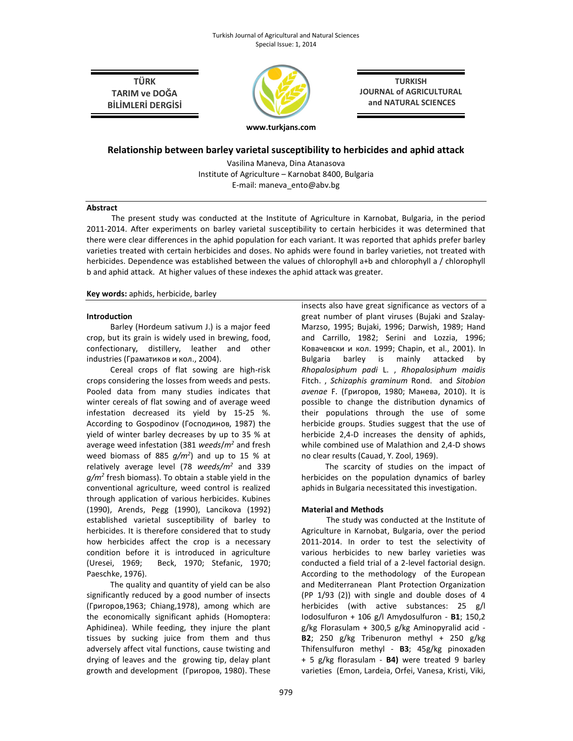TÜRK TARIM ve DOĞA BİLİMLERİ DERGİSİ



TURKISH JOURNAL of AGRICULTURAL and NATURAL SCIENCES

# Relationship between barley varietal susceptibility to herbicides and aphid attack

Vasilina Maneva, Dina Atanasova Institute of Agriculture – Karnobat 8400, Bulgaria E-mail: maneva\_ento@abv.bg

#### Abstract

The present study was conducted at the Institute of Agriculture in Karnobat, Bulgaria, in the period 2011-2014. After experiments on barley varietal susceptibility to certain herbicides it was determined that there were clear differences in the aphid population for each variant. It was reported that aphids prefer barley varieties treated with certain herbicides and doses. No aphids were found in barley varieties, not treated with herbicides. Dependence was established between the values of chlorophyll a+b and chlorophyll a / chlorophyll b and aphid attack. At higher values of these indexes the aphid attack was greater.

#### Key words: aphids, herbicide, barley

#### Introduction

Barley (Hordeum sativum J.) is a major feed crop, but its grain is widely used in brewing, food, confectionary, distillery, leather and other industries (Граматиков и кол., 2004).

Cereal crops of flat sowing are high-risk crops considering the losses from weeds and pests. Pooled data from many studies indicates that winter cereals of flat sowing and of average weed infestation decreased its yield by 15-25 %. According to Gospodinov (Господинов, 1987) the yield of winter barley decreases by up to 35 % at average weed infestation (381 weeds/m<sup>2</sup> and fresh weed biomass of 885  $g/m^2$ ) and up to 15 % at relatively average level (78 weeds/m<sup>2</sup> and 339  $g/m^2$  fresh biomass). To obtain a stable yield in the conventional agriculture, weed control is realized through application of various herbicides. Kubines (1990), Arends, Pegg (1990), Lancikova (1992) established varietal susceptibility of barley to herbicides. It is therefore considered that to study how herbicides affect the crop is a necessary condition before it is introduced in agriculture (Uresei, 1969; Beck, 1970; Stefanic, 1970; Paeschke, 1976).

The quality and quantity of yield can be also significantly reduced by a good number of insects (Григоров,1963; Chiang,1978), among which are the economically significant aphids (Homoptera: Aphidinea). While feeding, they injure the plant tissues by sucking juice from them and thus adversely affect vital functions, cause twisting and drying of leaves and the growing tip, delay plant growth and development (Григоров, 1980). These insects also have great significance as vectors of a great number of plant viruses (Bujaki and Szalay-Marzso, 1995; Bujaki, 1996; Darwish, 1989; Hand and Carrillo, 1982; Serini and Lozzia, 1996; Ковачевски и кол. 1999; Chapin, et al., 2001). In Bulgaria barley is mainly attacked by Rhopalosiphum padi L. , Rhopalosiphum maidis Fitch. , Schizaphis graminum Rond. and Sitobion avenae F. (Григоров, 1980; Манева, 2010). It is possible to change the distribution dynamics of their populations through the use of some herbicide groups. Studies suggest that the use of herbicide 2,4-D increases the density of aphids, while combined use of Malathion and 2,4-D shows no clear results (Cauad, Y. Zool, 1969).

The scarcity of studies on the impact of herbicides on the population dynamics of barley aphids in Bulgaria necessitated this investigation.

## Material and Methods

The study was conducted at the Institute of Agriculture in Karnobat, Bulgaria, over the period 2011-2014. In order to test the selectivity of various herbicides to new barley varieties was conducted a field trial of a 2-level factorial design. According to the methodology of the European and Mediterranean Plant Protection Organization (РР 1/93 (2)) with single and double doses of 4 herbicides (with active substances: 25 g/l Iodosulfuron + 106 g/l Amydosulfuron -  $B1$ ; 150,2 g/kg Florasulam + 300,5 g/kg Aminopyralid acid - B2; 250 g/kg Tribenuron methyl + 250 g/kg Thifensulfuron methyl - B3; 45g/kg pinoxaden + 5 g/kg florasulam - B4) were treated 9 barley varieties (Emon, Lardeia, Orfei, Vanesa, Kristi, Viki,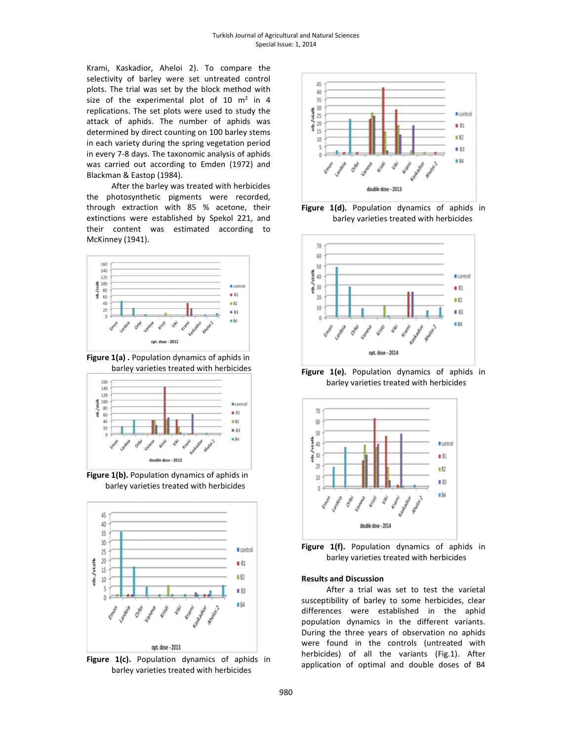Krami, Kaskadior, Aheloi 2). To compare the selectivity of barley were set untreated control plots. The trial was set by the block method with size of the experimental plot of  $10 \text{ m}^2$  in  $4$ replications. The set plots were used to study the attack of aphids. The number of aphids was determined by direct counting on 100 barley stems in each variety during the spring vegetation period in every 7-8 days. The taxonomic analysis of aphids was carried out according to Emden (1972) and Blackman & Eastop (1984).

After the barley was treated with herbicides the photosynthetic pigments were recorded, through extraction with 85 % acetone, their extinctions were established by Spekol 221, and their content was estimated according to McKinney (1941).



Figure 1(а) . Population dynamics of aphids in barley varieties treated with herbicides



Figure 1(b). Population dynamics of aphids in barley varieties treated with herbicides



Figure 1(c). Population dynamics of aphids in barley varieties treated with herbicides



Figure 1(d). Population dynamics of aphids in barley varieties treated with herbicides



Figure 1(e). Population dynamics of aphids in barley varieties treated with herbicides





#### Results and Discussion

After a trial was set to test the varietal susceptibility of barley to some herbicides, clear differences were established in the aphid population dynamics in the different variants. During the three years of observation no aphids were found in the controls (untreated with herbicides) of all the variants (Fig.1). After application of optimal and double doses of В4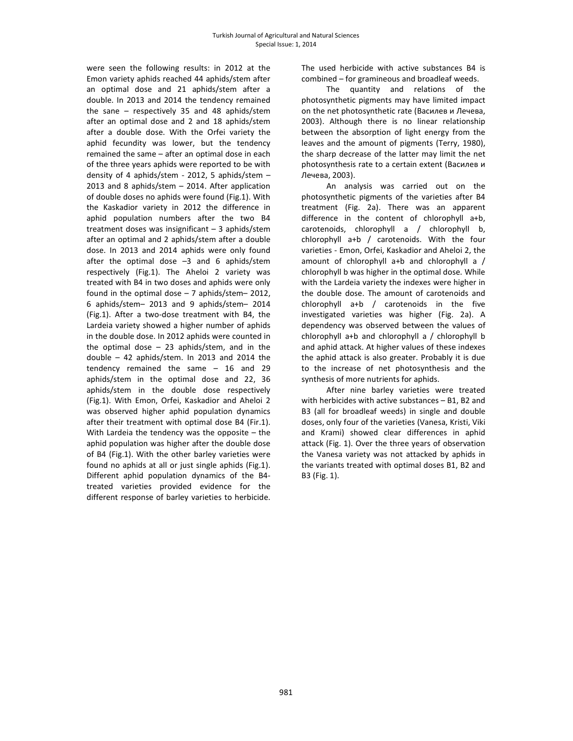were seen the following results: in 2012 at the Emon vaгiety aphids reached 44 aphids/stem after an optimal dose and 21 aphids/stem after a double. In 2013 and 2014 the tendency remained the sane – respectively 35 and 48 aphids/stem after an optimal dose and 2 and 18 aphids/stem after a double dose. With the Orfei variety the aphid fecundity was lower, but the tendency remained the same – after an optimal dose in each of the three years aphids were reported to be with density of 4 aphids/stem - 2012, 5 aphids/stem – 2013 and 8 aphids/stem – 2014. After application of double doses no aphids were found (Fig.1). With the Kaskadior variety in 2012 the difference in aphid population numbers after the two В4 treatment doses was insignificant – 3 aphids/stem after an optimal and 2 aphids/stem after a double dose. In 2013 and 2014 aphids were only found after the optimal dose –3 and 6 aphids/stem respectively (Fig.1). The Aheloi 2 variety was treated with В4 in two doses and aphids were only found in the optimal dose – 7 aphids/stem– 2012, 6 aphids/stem– 2013 and 9 aphids/stem– 2014 (Fig.1). After a two-dose treatment with В4, the Lardeia variety showed a higher number of aphids in the double dose. In 2012 aphids were counted in the optimal dose  $-23$  aphids/stem, and in the double – 42 aphids/stem. In 2013 and 2014 the tendency remained the same – 16 and 29 aphids/stem in the optimal dose and 22, 36 aphids/stem in the double dose respectively (Fig.1). With Emon, Orfei, Kaskadior and Aheloi 2 was observed higher aphid population dynamics after their treatment with optimal dose В4 (Fir.1). With Lardeia the tendency was the opposite – the aphid population was higher after the double dose of В4 (Fig.1). With the other barley varieties were found no aphids at all or just single aphids (Fig.1). Different aphid population dynamics of the В4 treated varieties provided evidence for the different response of barley varieties to herbicide.

The used herbicide with active substances В4 is combined – for gramineous and broadleaf weeds.

The quantity and relations of the photosynthetic pigments may have limited impact on the net photosynthetic rate (Василев и Лечева, 2003). Although there is no linear relationship between the absorption of light energy from the leaves and the amount of pigments (Terry, 1980), the sharp decrease of the latter may limit the net photosynthesis rate to a certain extent (Василев и Лечева, 2003).

An analysis was carried out on the photosynthetic pigments of the varieties after B4 treatment (Fig. 2а). There was an apparent difference in the content of chlorophyll a+b, carotenoids, chlorophyll а / chlorophyll b, chlorophyll a+b / carotenoids. With the four varieties - Emon, Orfei, Kaskadior and Aheloi 2, the amount of chlorophyll a+b and chlorophyll a / chlorophyll b was higher in the optimal dose. While with the Lardeia variety the indexes were higher in the double dose. The amount of carotenoids and chlorophyll a+b / carotenoids in the five investigated varieties was higher (Fig. 2а). A dependency was observed between the values of chlorophyll a+b and chlorophyll а / chlorophyll b and aphid attack. At higher values of these indexes the aphid attack is also greater. Probably it is due to the increase of net photosynthesis and the synthesis of more nutrients for aphids.

After nine barley varieties were treated with herbicides with active substances - B1, B2 and В3 (all for broadleaf weeds) in single and double doses, only four of the varieties (Vanesa, Kristi, Viki and Krami) showed clear differences in aphid attack (Fig. 1). Over the three years of observation the Vanesa variety was not attacked by aphids in the variants treated with optimal doses В1, В2 and В3 (Fig. 1).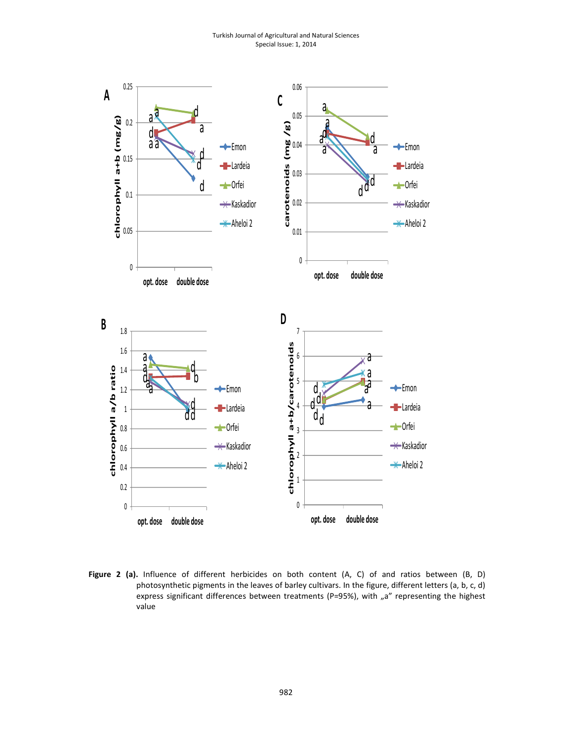Turkish Journal of Agricultural and Natural Sciences Special Issue: 1, 2014



Figure 2 (a). Influence of different herbicides on both content (A, C) of and ratios between (B, D) photosynthetic pigments in the leaves of barley cultivars. In the figure, different letters (a, b, c, d) express significant differences between treatments (P=95%), with "a" representing the highest value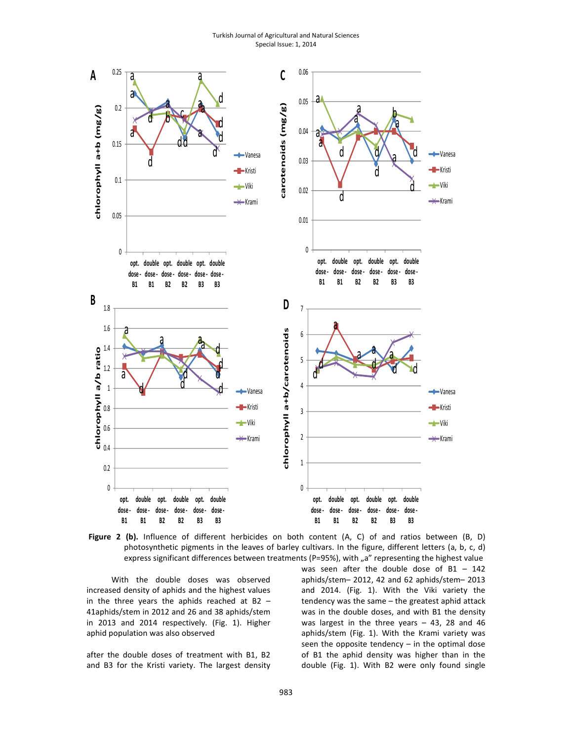Turkish Journal of Agricultural and Natural Sciences Special Issue: 1, 2014



Figure 2 (b). Influence of different herbicides on both content (A, C) of and ratios between (B, D) photosynthetic pigments in the leaves of barley cultivars. In the figure, different letters (a, b, c, d) express significant differences between treatments (P=95%), with "a" representing the highest value

With the double doses was observed increased density of aphids and the highest values in the three years the aphids reached at B2  $-$ 41aphids/stem in 2012 and 26 and 38 aphids/stem in 2013 and 2014 respectively. (Fig. 1). Higher aphid population was also observed

after the double doses of treatment with В1, В2 and В3 for the Kristi variety. The largest density was seen after the double dose of  $B1 - 142$ aphids/stem– 2012, 42 and 62 aphids/stem– 2013 and 2014. (Fig. 1). With the Viki variety the tendency was the same – the greatest aphid attack was in the double doses, and with B1 the density was largest in the three years – 43, 28 and 46 aphids/stem (Fig. 1). With the Krami variety was seen the opposite tendency  $-$  in the optimal dose of В1 the aphid density was higher than in the double (Fig. 1). With В2 were only found single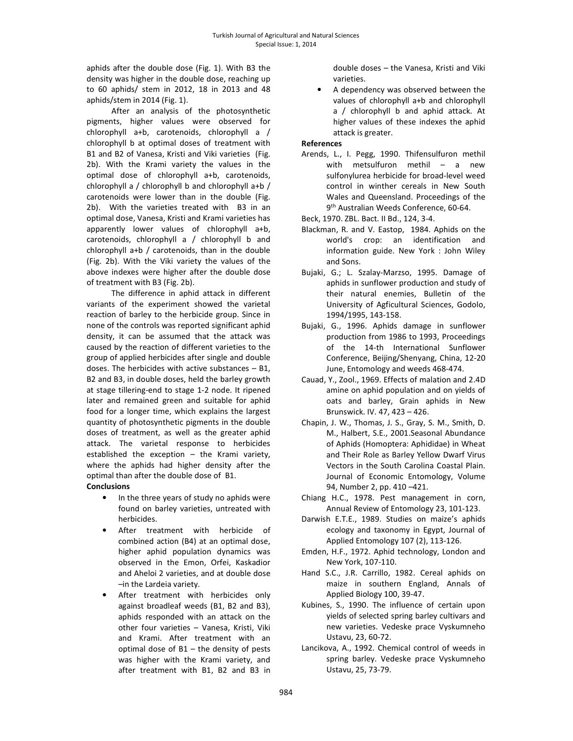aphids after the double dose (Fig. 1). With В3 the density was higher in the double dose, reaching up to 60 aphids/ stem in 2012, 18 in 2013 and 48 aphids/stem in 2014 (Fig. 1).

After an analysis of the photosynthetic pigments, higher values were observed for chlorophyll a+b, carotenoids, chlorophyll а / chlorophyll b at optimal doses of treatment with В1 and В2 of Vanesa, Kristi and Viki varieties (Fig. 2b). With the Krami variety the values in the optimal dose of chlorophyll a+b, carotenoids, chlorophyll а / chlorophyll b and chlorophyll a+b / carotenoids were lower than in the double (Fig. 2b). With the varieties treated with В3 in an optimal dose, Vanesa, Kristi and Krami varieties has apparently lower values of chlorophyll a+b, carotenoids, chlorophyll а / chlorophyll b and chlorophyll a+b / carotenoids, than in the double (Fig. 2b). With the Viki variety the values of the above indexes were higher after the double dose of treatment with В3 (Fig. 2b).

The difference in aphid attack in different variants of the experiment showed the varietal reaction of barley to the herbicide group. Since in none of the controls was reported significant aphid density, it can be assumed that the attack was caused by the reaction of different varieties to the group of applied herbicides after single and double doses. The herbicides with active substances – В1, В2 and В3, in double doses, held the barley growth at stage tillering-end to stage 1-2 node. It ripened later and remained green and suitable for aphid food for a longer time, which explains the largest quantity of photosynthetic pigments in the double doses of treatment, as well as the greater aphid attack. The varietal response to herbicides established the exception – the Krami variety, where the aphids had higher density after the optimal than after the double dose of В1. **Conclusions** 

- In the three years of study no aphids were found on barley varieties, untreated with herbicides.
- After treatment with herbicide of combined action (В4) at an optimal dose, higher aphid population dynamics was observed in the Emon, Orfei, Kaskadior and Aheloi 2 varieties, and at double dose –in the Lardeia variety.
- After treatment with herbicides only against broadleaf weeds (В1, В2 and В3), aphids responded with an attack on the other four varieties – Vanesa, Kristi, Viki and Krami. After treatment with an optimal dose of В1 – the density of pests was higher with the Krami variety, and after treatment with В1, В2 and В3 in

double doses – the Vanesa, Kristi and Viki varieties.

• A dependency was observed between the values of chlorophyll a+b and chlorophyll а / chlorophyll b and aphid attack. At higher values of these indexes the aphid attack is greater.

### References

Arends, L., I. Pegg, 1990. Thifensulfuron methil with metsulfuron methil – a new sulfonylurea herbicide for broad-level weed control in winther cereals in New South Wales and Queensland. Proceedings of the 9 th Australian Weeds Conference, 60-64.

Beck, 1970. ZBL. Bact. II Bd., 124, 3-4.

- Blackman, R. and V. Eastop, 1984. Aphids on the world's crop: an identification and information guide. New York : John Wiley and Sons.
- Bujaki, G.; L. Szalay-Marzso, 1995. Damage of aphids in sunflower production and study of their natural enemies, Bulletin of the University of Agficultural Sciences, Godolo, 1994/1995, 143-158.
- Bujaki, G., 1996. Аphids damage in sunflower production from 1986 to 1993, Proceedings of the 14-th International Sunflower Conference, Beijing/Shenyang, China, 12-20 June, Entomology and weeds 468-474.
- Cauad, Y., Zool., 1969. Effects of malation and 2.4D amine on aphid population and on yields of oats and barley, Grain aphids in New Brunswick. ІV. 47, 423 – 426.
- Chapin, J. W., Thomas, J. S., Gray, S. M., Smith, D. M., Halbert, S.E., 2001.Seasonal Abundance of Aphids (Homoptera: Aphididae) in Wheat and Their Role as Barley Yellow Dwarf Virus Vectors in the South Carolina Coastal Plain. Journal of Economic Entomology, Volume 94, Number 2, pp. 410 –421.
- Chiang H.C., 1978. Pest management in corn, Annual Review of Entomology 23, 101-123.
- Darwish E.T.E., 1989. Studies on maize's aphids ecology and taxonomy in Egypt, Journal of Applied Entomology 107 (2), 113-126.
- Emden, H.F., 1972. Aphid technology, London and New York, 107-110.
- Hand S.C., J.R. Carrillo, 1982. Cereal aphids on maize in southern England, Annals of Applied Biology 100, 39-47.
- Kubines, S., 1990. The influence of certain upon yields of selected spring barley cultivars and new varieties. Vedeske prace Vyskumneho Ustavu, 23, 60-72.
- Lancikova, A., 1992. Chemical control of weeds in spring barley. Vedeske prace Vyskumneho Ustavu, 25, 73-79.